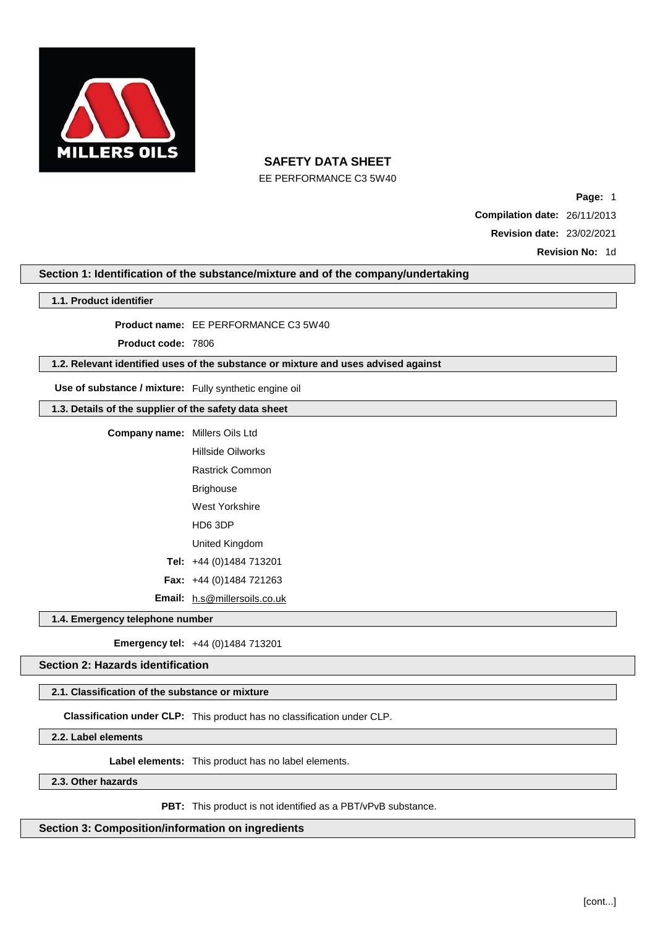

EE PERFORMANCE C3 5W40

**Page:** 1 **Compilation date:** 26/11/2013 **Revision date:** 23/02/2021 **Revision No:** 1d

### **Section 1: Identification of the substance/mixture and of the company/undertaking**

#### **1.1. Product identifier**

**Product name:** EE PERFORMANCE C3 5W40

**Product code:** 7806

#### **1.2. Relevant identified uses of the substance or mixture and uses advised against**

**Use of substance / mixture:** Fully synthetic engine oil

### **1.3. Details of the supplier of the safety data sheet**

| <b>Company name:</b> Millers Oils Ltd |                                     |  |
|---------------------------------------|-------------------------------------|--|
|                                       | Hillside Oilworks                   |  |
|                                       | Rastrick Common                     |  |
|                                       | Brighouse                           |  |
|                                       | West Yorkshire                      |  |
|                                       | HD6 3DP                             |  |
|                                       | United Kingdom                      |  |
|                                       | Tel: $+44(0)1484713201$             |  |
|                                       | <b>Fax:</b> $+44$ (0)1484 721263    |  |
|                                       | <b>Email:</b> h.s@millersoils.co.uk |  |

**1.4. Emergency telephone number**

**Emergency tel:** +44 (0)1484 713201

**Section 2: Hazards identification**

### **2.1. Classification of the substance or mixture**

**Classification under CLP:** This product has no classification under CLP.

**2.2. Label elements**

**Label elements:** This product has no label elements.

#### **2.3. Other hazards**

**PBT:** This product is not identified as a PBT/vPvB substance.

**Section 3: Composition/information on ingredients**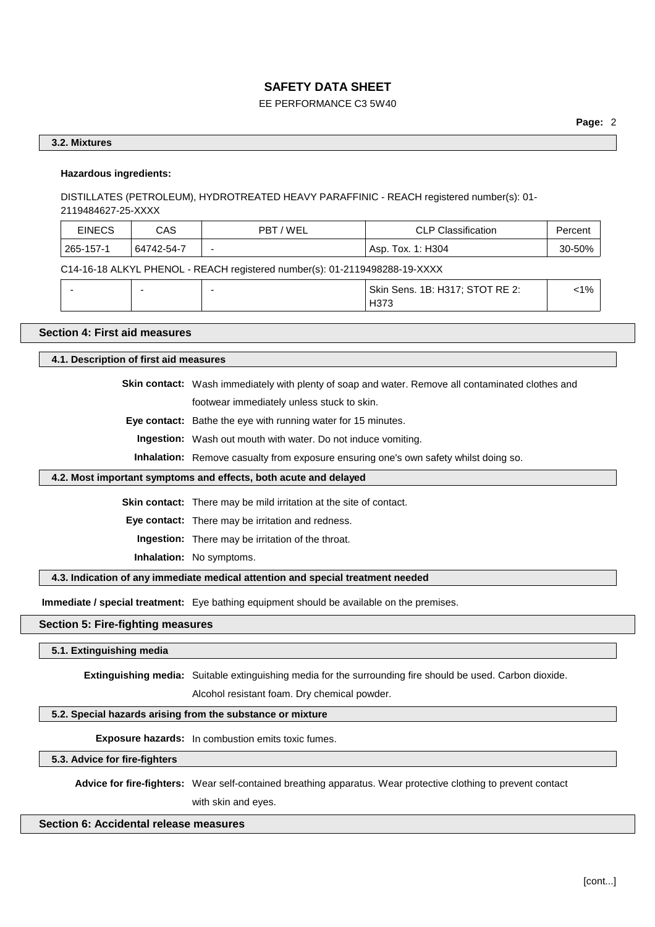### EE PERFORMANCE C3 5W40

### **3.2. Mixtures**

### **Hazardous ingredients:**

DISTILLATES (PETROLEUM), HYDROTREATED HEAVY PARAFFINIC - REACH registered number(s): 01- 2119484627-25-XXXX

| <b>EINECS</b> | CAS        | / WEL<br>PBT | <b>CLP Classification</b> | Percent          |
|---------------|------------|--------------|---------------------------|------------------|
| 265-157-1     | 64742-54-7 |              | Asp. Tox. 1: H304         | $-50%$<br>๋ ่า∩- |

C14-16-18 ALKYL PHENOL - REACH registered number(s): 01-2119498288-19-XXXX

|  |  | Skin Sens. 1B: H317; STOT RE 2: | 1% |
|--|--|---------------------------------|----|
|  |  | 4373                            |    |

# **Section 4: First aid measures**

**4.1. Description of first aid measures**

**Skin contact:** Wash immediately with plenty of soap and water. Remove all contaminated clothes and footwear immediately unless stuck to skin.

**Eye contact:** Bathe the eye with running water for 15 minutes.

**Ingestion:** Wash out mouth with water. Do not induce vomiting.

**Inhalation:** Remove casualty from exposure ensuring one's own safety whilst doing so.

#### **4.2. Most important symptoms and effects, both acute and delayed**

**Skin contact:** There may be mild irritation at the site of contact.

**Eye contact:** There may be irritation and redness.

**Ingestion:** There may be irritation of the throat.

**Inhalation:** No symptoms.

**4.3. Indication of any immediate medical attention and special treatment needed**

**Immediate / special treatment:** Eye bathing equipment should be available on the premises.

### **Section 5: Fire-fighting measures**

**5.1. Extinguishing media**

**Extinguishing media:** Suitable extinguishing media for the surrounding fire should be used. Carbon dioxide.

Alcohol resistant foam. Dry chemical powder.

#### **5.2. Special hazards arising from the substance or mixture**

**Exposure hazards:** In combustion emits toxic fumes.

**5.3. Advice for fire-fighters**

**Advice for fire-fighters:** Wear self-contained breathing apparatus. Wear protective clothing to prevent contact with skin and eyes.

**Section 6: Accidental release measures**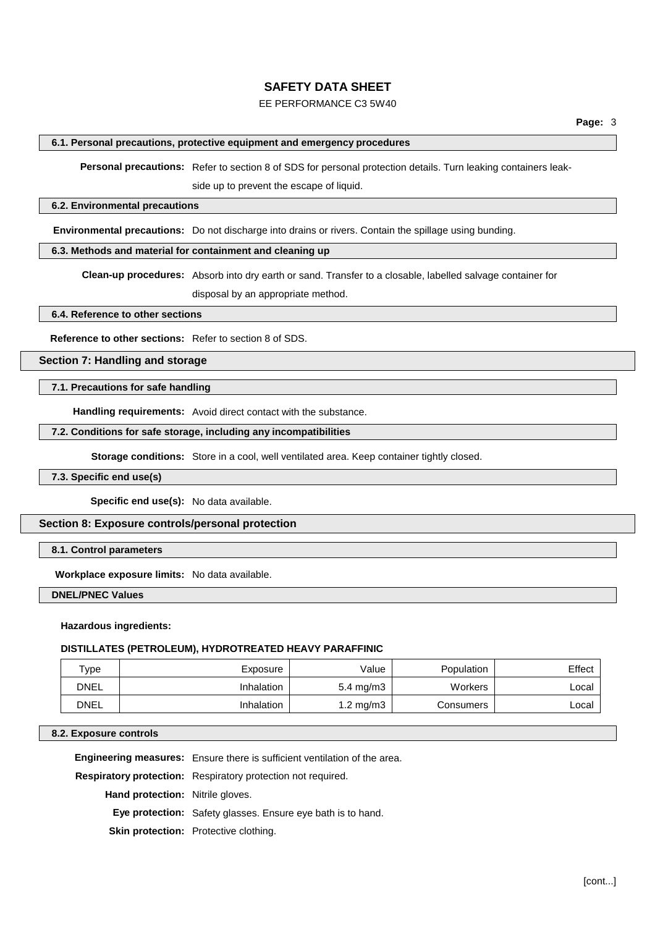### EE PERFORMANCE C3 5W40

#### **6.1. Personal precautions, protective equipment and emergency procedures**

**Personal precautions:** Refer to section 8 of SDS for personal protection details. Turn leaking containers leakside up to prevent the escape of liquid.

#### **6.2. Environmental precautions**

**Environmental precautions:** Do not discharge into drains or rivers. Contain the spillage using bunding.

### **6.3. Methods and material for containment and cleaning up**

**Clean-up procedures:** Absorb into dry earth or sand. Transfer to a closable, labelled salvage container for disposal by an appropriate method.

**6.4. Reference to other sections**

**Reference to other sections:** Refer to section 8 of SDS.

**Section 7: Handling and storage**

#### **7.1. Precautions for safe handling**

**Handling requirements:** Avoid direct contact with the substance.

#### **7.2. Conditions for safe storage, including any incompatibilities**

**Storage conditions:** Store in a cool, well ventilated area. Keep container tightly closed.

### **7.3. Specific end use(s)**

**Specific end use(s):** No data available.

#### **Section 8: Exposure controls/personal protection**

**8.1. Control parameters**

**Workplace exposure limits:** No data available.

**DNEL/PNEC Values**

#### **Hazardous ingredients:**

#### **DISTILLATES (PETROLEUM), HYDROTREATED HEAVY PARAFFINIC**

| Type        | Exposure   | Value                | Population | Effect |
|-------------|------------|----------------------|------------|--------|
| <b>DNEL</b> | Inhalation | $5.4 \text{ mg/m}$ 3 | Workers    | ∟ocal  |
| <b>DNEL</b> | Inhalation | $1.2 \text{ mg/m}$   | Consumers  | ∟ocal  |

#### **8.2. Exposure controls**

**Engineering measures:** Ensure there is sufficient ventilation of the area.

**Respiratory protection:** Respiratory protection not required.

**Hand protection:** Nitrile gloves.

**Eye protection:** Safety glasses. Ensure eye bath is to hand.

**Skin protection:** Protective clothing.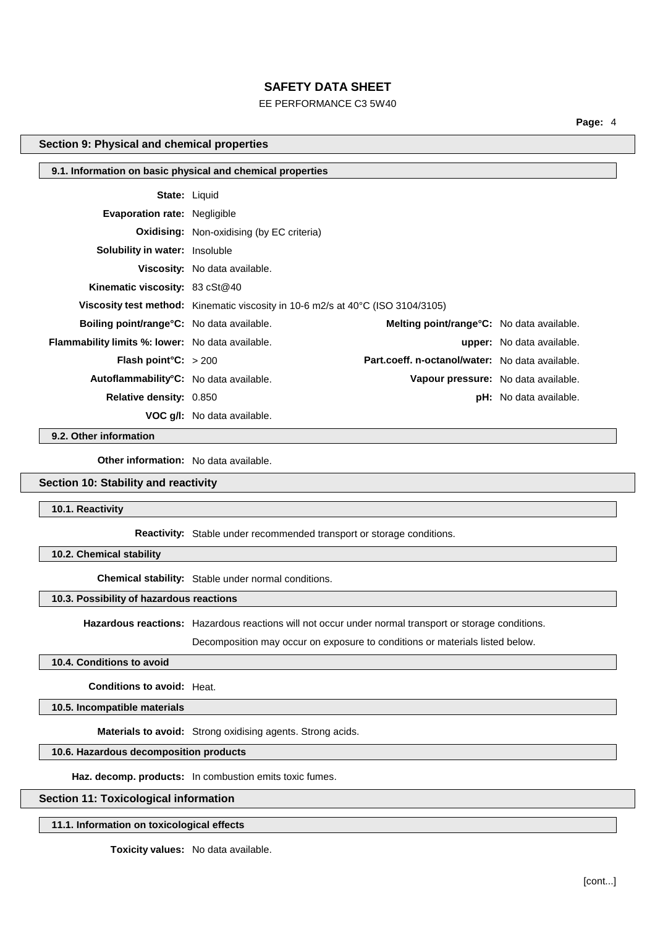### EE PERFORMANCE C3 5W40

**Page:** 4

#### **Section 9: Physical and chemical properties**

| 9.1. Information on basic physical and chemical properties |                                                                                 |                                                   |                                  |
|------------------------------------------------------------|---------------------------------------------------------------------------------|---------------------------------------------------|----------------------------------|
| <b>State: Liquid</b>                                       |                                                                                 |                                                   |                                  |
| <b>Evaporation rate: Negligible</b>                        |                                                                                 |                                                   |                                  |
|                                                            | <b>Oxidising:</b> Non-oxidising (by EC criteria)                                |                                                   |                                  |
| <b>Solubility in water:</b> Insoluble                      |                                                                                 |                                                   |                                  |
|                                                            | <b>Viscosity:</b> No data available.                                            |                                                   |                                  |
| <b>Kinematic viscosity: 83 cSt@40</b>                      |                                                                                 |                                                   |                                  |
|                                                            | Viscosity test method: Kinematic viscosity in 10-6 m2/s at 40°C (ISO 3104/3105) |                                                   |                                  |
| Boiling point/range°C: No data available.                  |                                                                                 | <b>Melting point/range °C:</b> No data available. |                                  |
| <b>Flammability limits %: lower:</b> No data available.    |                                                                                 |                                                   | <b>upper:</b> No data available. |
| <b>Flash point C:</b> $>200$                               |                                                                                 | Part.coeff. n-octanol/water: No data available.   |                                  |
| Autoflammability <sup>°</sup> C: No data available.        |                                                                                 | Vapour pressure: No data available.               |                                  |
| <b>Relative density: 0.850</b>                             |                                                                                 |                                                   | <b>pH:</b> No data available.    |
|                                                            | <b>VOC g/l:</b> No data available.                                              |                                                   |                                  |

**9.2. Other information**

**Other information:** No data available.

### **Section 10: Stability and reactivity**

**10.1. Reactivity**

**Reactivity:** Stable under recommended transport or storage conditions.

**10.2. Chemical stability**

**Chemical stability:** Stable under normal conditions.

### **10.3. Possibility of hazardous reactions**

**Hazardous reactions:** Hazardous reactions will not occur under normal transport or storage conditions.

Decomposition may occur on exposure to conditions or materials listed below.

# **10.4. Conditions to avoid**

**Conditions to avoid:** Heat.

**10.5. Incompatible materials**

**Materials to avoid:** Strong oxidising agents. Strong acids.

# **10.6. Hazardous decomposition products**

**Haz. decomp. products:** In combustion emits toxic fumes.

### **Section 11: Toxicological information**

**11.1. Information on toxicological effects**

**Toxicity values:** No data available.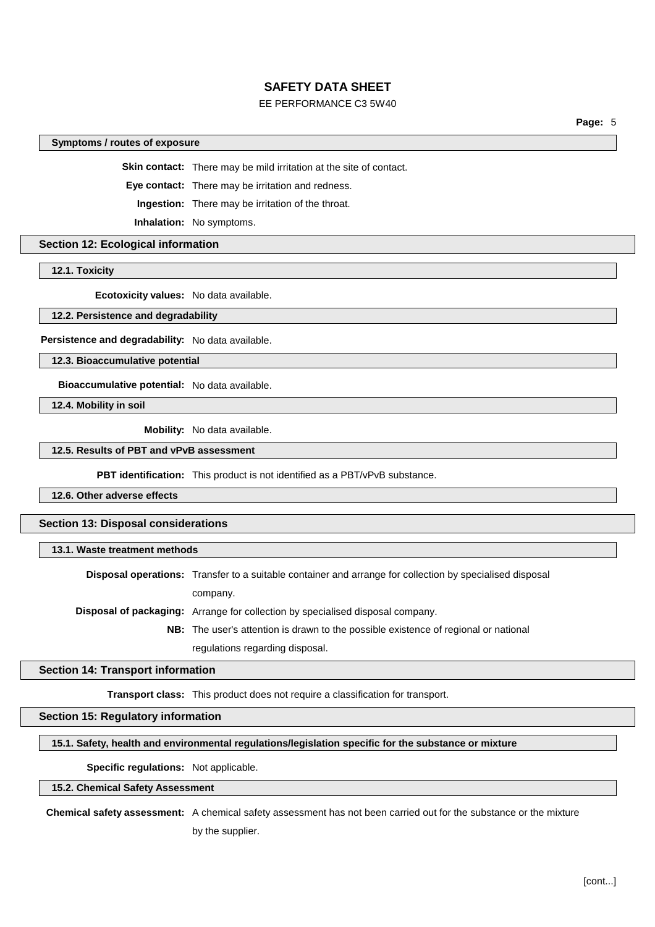### EE PERFORMANCE C3 5W40

**Page:** 5

#### **Symptoms / routes of exposure**

**Skin contact:** There may be mild irritation at the site of contact.

**Eye contact:** There may be irritation and redness.

**Ingestion:** There may be irritation of the throat.

**Inhalation:** No symptoms.

#### **Section 12: Ecological information**

**12.1. Toxicity**

**Ecotoxicity values:** No data available.

#### **12.2. Persistence and degradability**

**Persistence and degradability:** No data available.

**12.3. Bioaccumulative potential**

**Bioaccumulative potential:** No data available.

**12.4. Mobility in soil**

**Mobility:** No data available.

#### **12.5. Results of PBT and vPvB assessment**

**PBT identification:** This product is not identified as a PBT/vPvB substance.

**12.6. Other adverse effects**

#### **Section 13: Disposal considerations**

#### **13.1. Waste treatment methods**

**Disposal operations:** Transfer to a suitable container and arrange for collection by specialised disposal company.

**Disposal of packaging:** Arrange for collection by specialised disposal company.

**NB:** The user's attention is drawn to the possible existence of regional or national regulations regarding disposal.

#### **Section 14: Transport information**

**Transport class:** This product does not require a classification for transport.

### **Section 15: Regulatory information**

#### **15.1. Safety, health and environmental regulations/legislation specific for the substance or mixture**

**Specific regulations:** Not applicable.

### **15.2. Chemical Safety Assessment**

**Chemical safety assessment:** A chemical safety assessment has not been carried out for the substance or the mixture by the supplier.